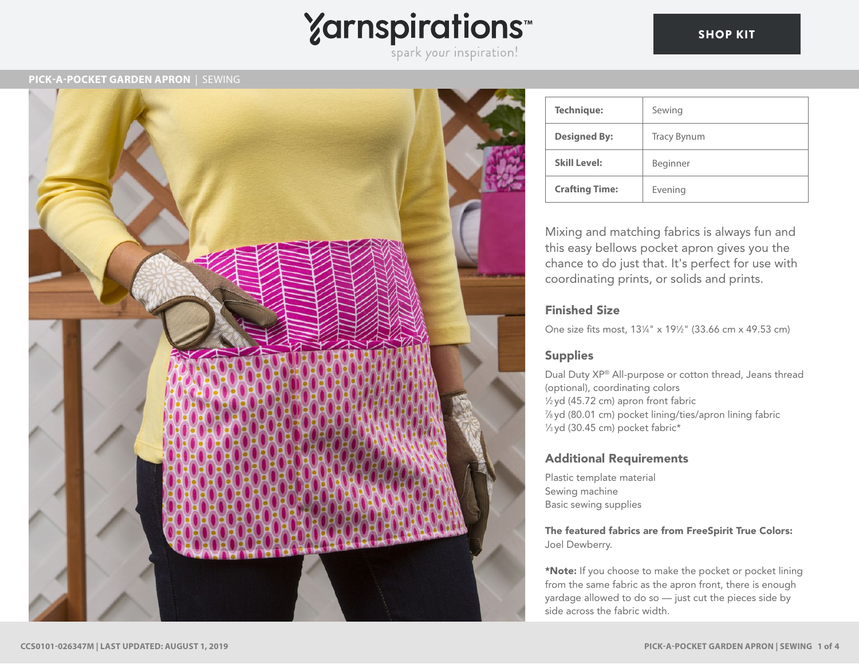# Yarnspirations<sup>\*\*</sup>

# **PICK-A-POCKET GARDEN APRON** | SEWING



| <b>Technique:</b>     | Sewing             |
|-----------------------|--------------------|
| <b>Designed By:</b>   | <b>Tracy Bynum</b> |
| <b>Skill Level:</b>   | Beginner           |
| <b>Crafting Time:</b> | Evening            |

Mixing and matching fabrics is always fun and this easy bellows pocket apron gives you the chance to do just that. It's perfect for use with coordinating prints, or solids and prints.

# Finished Size

One size fits most, 131 ⁄4" x 191 ⁄2" (33.66 cm x 49.53 cm)

# Supplies

Dual Duty XP® All-purpose or cotton thread, Jeans thread (optional), coordinating colors 1 ⁄2 yd (45.72 cm) apron front fabric 7 ⁄8 yd (80.01 cm) pocket lining/ties/apron lining fabric 1 ⁄3 yd (30.45 cm) pocket fabric\*

# Additional Requirements

Plastic template material Sewing machine Basic sewing supplies

The featured fabrics are from FreeSpirit True Colors: Joel Dewberry.

\*Note: If you choose to make the pocket or pocket lining from the same fabric as the apron front, there is enough yardage allowed to do so — just cut the pieces side by side across the fabric width.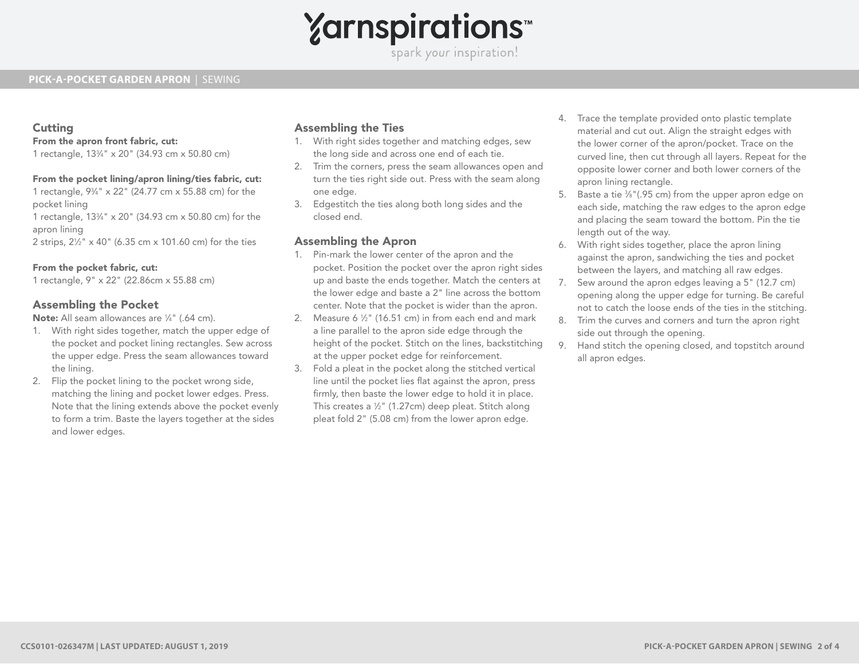# **Yarnspirations**

spark your inspiration!

# **PICK-A-POCKET GARDEN APRON** | SEWING

# **Cutting**

#### From the apron front fabric, cut:

1 rectangle, 133 ⁄4" x 20" (34.93 cm x 50.80 cm)

### From the pocket lining/apron lining/ties fabric, cut:

1 rectangle, 93 ⁄4" x 22" (24.77 cm x 55.88 cm) for the

pocket lining

1 rectangle, 133 ⁄4" x 20" (34.93 cm x 50.80 cm) for the apron lining

2 strips, 21 ⁄2" x 40" (6.35 cm x 101.60 cm) for the ties

#### From the pocket fabric, cut:

1 rectangle, 9" x 22" (22.86cm x 55.88 cm)

# Assembling the Pocket

Note: All seam allowances are 1/4" (.64 cm).

- 1. With right sides together, match the upper edge of the pocket and pocket lining rectangles. Sew across the upper edge. Press the seam allowances toward the lining.
- 2. Flip the pocket lining to the pocket wrong side, matching the lining and pocket lower edges. Press. Note that the lining extends above the pocket evenly to form a trim. Baste the layers together at the sides and lower edges.

# Assembling the Ties

- 1. With right sides together and matching edges, sew the long side and across one end of each tie.
- 2. Trim the corners, press the seam allowances open and turn the ties right side out. Press with the seam along one edge.
- 3. Edgestitch the ties along both long sides and the closed end.

# Assembling the Apron

- 1. Pin-mark the lower center of the apron and the pocket. Position the pocket over the apron right sides up and baste the ends together. Match the centers at the lower edge and baste a 2" line across the bottom center. Note that the pocket is wider than the apron.
- 2. Measure 6  $\frac{1}{2}$ " (16.51 cm) in from each end and mark a line parallel to the apron side edge through the height of the pocket. Stitch on the lines, backstitching at the upper pocket edge for reinforcement.
- 3. Fold a pleat in the pocket along the stitched vertical line until the pocket lies flat against the apron, press firmly, then baste the lower edge to hold it in place. This creates a 1 ⁄2" (1.27cm) deep pleat. Stitch along pleat fold 2" (5.08 cm) from the lower apron edge.
- 4. Trace the template provided onto plastic template material and cut out. Align the straight edges with the lower corner of the apron/pocket. Trace on the curved line, then cut through all layers. Repeat for the opposite lower corner and both lower corners of the apron lining rectangle.
- 5. Baste a tie 3 ⁄8"(.95 cm) from the upper apron edge on each side, matching the raw edges to the apron edge and placing the seam toward the bottom. Pin the tie length out of the way.
- 6. With right sides together, place the apron lining against the apron, sandwiching the ties and pocket between the layers, and matching all raw edges.
- 7. Sew around the apron edges leaving a 5" (12.7 cm) opening along the upper edge for turning. Be careful not to catch the loose ends of the ties in the stitching.
- 8. Trim the curves and corners and turn the apron right side out through the opening.
- 9. Hand stitch the opening closed, and topstitch around all apron edges.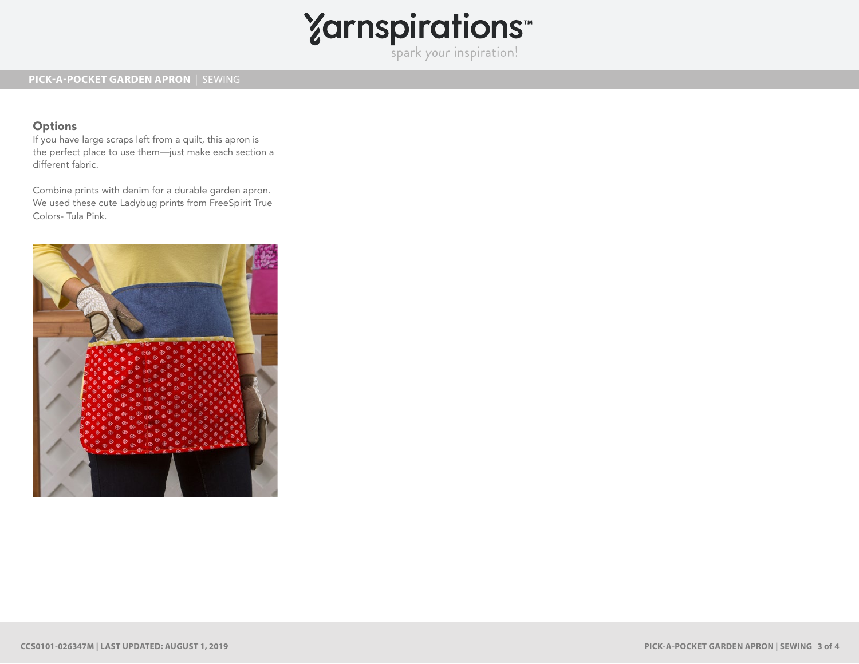

# **Options**

If you have large scraps left from a quilt, this apron is the perfect place to use them—just make each section a different fabric.

Combine prints with denim for a durable garden apron. We used these cute Ladybug prints from FreeSpirit True Colors- Tula Pink.